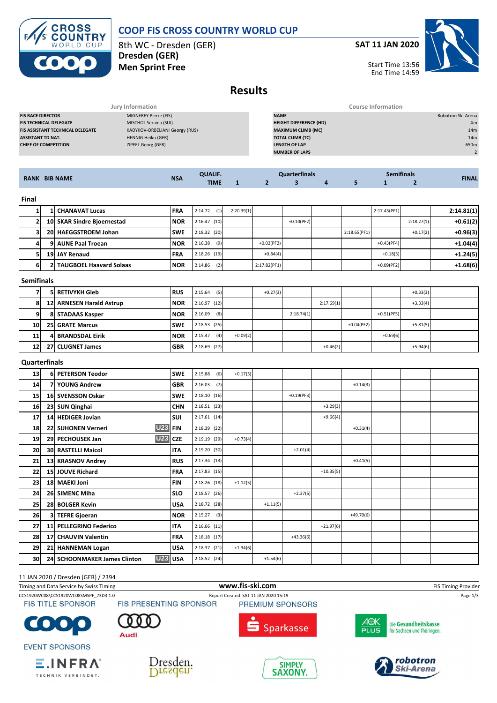

## **COOP FIS CROSS COUNTRY WORLD CUP**

8th WC - Dresden (GER) **Dresden (GER) Men Sprint Free**

**SAT 11 JAN 2020**



Start Time 13:56 End Time 14:59

# **Results**

|                                  | Jury Information               |                               | Course Information |
|----------------------------------|--------------------------------|-------------------------------|--------------------|
| <b>FIS RACE DIRECTOR</b>         | MIGNEREY Pierre (FIS)          | <b>NAME</b>                   | Robotron Ski-Arena |
| <b>FIS TECHNICAL DELEGATE</b>    | MISCHOL Seraina (SUI)          | <b>HEIGHT DIFFERENCE (HD)</b> | 4m                 |
| FIS ASSISTANT TECHNICAL DELEGATE | KADYKOV-ORBELIANI Georgy (RUS) | <b>MAXIMUM CLIMB (MC)</b>     | 14 <sub>m</sub>    |
| ASSISTANT TD NAT.                | <b>HENNIG Heiko (GER)</b>      | <b>TOTAL CLIMB (TC)</b>       | 14 <sub>m</sub>    |
| <b>CHIEF OF COMPETITION</b>      | ZIPFEL Georg (GER)             | <b>LENGTH OF LAP</b>          | 650m               |
|                                  |                                | <b>NUMBER OF LAPS</b>         |                    |
|                                  |                                |                               |                    |

| <b>RANK BIB NAME</b> |  |                            |             | <b>QUALIF.</b> |            | <b>Quarterfinals</b> |               |  |   |              | <b>Semifinals</b> |               |  |
|----------------------|--|----------------------------|-------------|----------------|------------|----------------------|---------------|--|---|--------------|-------------------|---------------|--|
|                      |  | <b>NSA</b>                 | <b>TIME</b> |                |            |                      | 4             |  |   |              | <b>FINAL</b>      |               |  |
|                      |  |                            |             |                |            |                      |               |  |   |              |                   |               |  |
| <b>Final</b>         |  |                            |             |                |            |                      |               |  |   |              |                   |               |  |
|                      |  | <b>1 CHANAVAT Lucas</b>    | <b>FRA</b>  | (1)<br>2:14.72 | 2:20.39(1) |                      |               |  |   | 2:17.43(PF1) |                   | 2:14.81(1)    |  |
| 2 <sup>1</sup>       |  | 10 SKAR Sindre Bioernestad | <b>INOR</b> | $2:16.47$ (10) |            |                      | $+0.10$ (PF2) |  |   |              | 2:18.27(1)        | $+0.61(2)$    |  |
| - 1                  |  | ----------------           | -----       | .              |            |                      |               |  | . |              |                   | $- - - - - -$ |  |

|   | 10 SKAR Sindre Bioernestad       | <b>NOR</b> | $2:16.47$ (10) |              | $+0.10(PF2)$ |              |               | 2:18.27(1) | $+0.61(2)$ |
|---|----------------------------------|------------|----------------|--------------|--------------|--------------|---------------|------------|------------|
|   | 20 HAEGGSTROEM Johan             | <b>SWE</b> | $2:18.32$ (20) |              |              | 2:18.65(PF1) |               | $+0.17(2)$ | $+0.96(3)$ |
|   | 9 AUNE Paal Troean               | <b>NOR</b> | (9)<br>2:16.38 | $+0.02(PF2)$ |              |              | $+0.43(PF4)$  |            | $+1.04(4)$ |
|   | 19 JAY Renaud                    | <b>FRA</b> | $2:18.26$ (19) | $+0.84(4)$   |              |              | $+0.18(3)$    |            | $+1.24(5)$ |
| h | <b>2 TAUGBOEL Haavard Solaas</b> | <b>NOR</b> | (2)<br>2:14.86 | 2:17.82(PF1) |              |              | $+0.09$ (PF2) |            | $+1.68(6)$ |

#### **Semifinals**

|                 | 5 RETIVYKH Gleb          | <b>RUS</b>  | (5)<br>2:15.64 |            | $+0.27(3)$ |            |            |              |              | $+0.33(3)$ |  |
|-----------------|--------------------------|-------------|----------------|------------|------------|------------|------------|--------------|--------------|------------|--|
| 8               | 12 ARNESEN Harald Astrup | <b>INOR</b> | 2:16.97(12)    |            |            |            | 2:17.69(1) |              |              | $+3.33(4)$ |  |
| O               | 8 STADAAS Kasper         | <b>NOR</b>  | (8)<br>2:16.09 |            |            | 2:18.74(1) |            |              | $+0.51(PF5)$ |            |  |
| 10 <sup>1</sup> | <b>25 GRATE Marcus</b>   | <b>SWE</b>  | $2:18.53$ (25) |            |            |            |            | $+0.04(PF2)$ |              | $+5.81(5)$ |  |
| 11              | <b>4 BRANDSDAL Eirik</b> | <b>NOR</b>  | (4)<br>2:15.47 | $+0.09(2)$ |            |            |            |              | $+0.69(6)$   |            |  |
| 12              | 27 CLUGNET James         | <b>GBR</b>  | $2:18.69$ (27) |            |            |            | $+0.46(2)$ |              |              | $+5.94(6)$ |  |

## **Quarterfinals**

| 13 | 6 PETERSON Teodor                          | <b>SWE</b>  | 2:15.88<br>(6) | $+0.17(3)$ |            |              |             |             |  |  |
|----|--------------------------------------------|-------------|----------------|------------|------------|--------------|-------------|-------------|--|--|
| 14 | 7 YOUNG Andrew                             | <b>GBR</b>  | 2:16.03<br>(7) |            |            |              |             | $+0.14(3)$  |  |  |
| 15 | 16 SVENSSON Oskar                          | <b>SWE</b>  | 2:18.10(16)    |            |            | $+0.19(PF3)$ |             |             |  |  |
| 16 | 23 SUN Qinghai                             | <b>CHN</b>  | 2:18.51(23)    |            |            |              | $+3.29(3)$  |             |  |  |
| 17 | 14 HEDIGER Jovian                          | <b>SUI</b>  | $2:17.61$ (14) |            |            |              | $+9.66(4)$  |             |  |  |
| 18 | <b>U23</b><br>22 SUHONEN Verneri           | <b>IFIN</b> | 2:18.39 (22)   |            |            |              |             | $+0.31(4)$  |  |  |
| 19 | <b>U23</b><br>29 PECHOUSEK Jan             | <b>CZE</b>  | 2:19.19 (29)   | $+0.73(4)$ |            |              |             |             |  |  |
| 20 | <b>30 RASTELLI Maicol</b>                  | <b>ITA</b>  | 2:19.20 (30)   |            |            | $+2.01(4)$   |             |             |  |  |
| 21 | 13 KRASNOV Andrey                          | <b>RUS</b>  | 2:17.34(13)    |            |            |              |             | $+0.41(5)$  |  |  |
| 22 | 15 JOUVE Richard                           | <b>FRA</b>  | $2:17.83$ (15) |            |            |              | $+10.35(5)$ |             |  |  |
| 23 | 18 MAEKI Joni                              | <b>FIN</b>  | $2:18.26$ (18) | $+1.12(5)$ |            |              |             |             |  |  |
| 24 | 26 SIMENC Miha                             | <b>SLO</b>  | $2:18.57$ (26) |            |            | $+2.37(5)$   |             |             |  |  |
| 25 | 28 BOLGER Kevin                            | <b>USA</b>  | 2:18.72 (28)   |            | $+1.11(5)$ |              |             |             |  |  |
| 26 | 3 TEFRE Gjoeran                            | <b>NOR</b>  | $2:15.27$ (3)  |            |            |              |             | $+49.70(6)$ |  |  |
| 27 | 11 PELLEGRINO Federico                     | <b>ITA</b>  | $2:16.66$ (11) |            |            |              | $+21.97(6)$ |             |  |  |
| 28 | 17 CHAUVIN Valentin                        | <b>FRA</b>  | $2:18.18$ (17) |            |            | $+43.36(6)$  |             |             |  |  |
| 29 | 21 HANNEMAN Logan                          | <b>USA</b>  | 2:18.37(21)    | $+1.34(6)$ |            |              |             |             |  |  |
| 30 | <b>U23</b><br>24 SCHOONMAKER James Clinton | <b>USA</b>  | $2:18.52$ (24) |            | $+1.54(6)$ |              |             |             |  |  |

## 11 JAN 2020 / Dresden (GER) / 2394

Timing and Data Service by Swiss Timing **WWW.fis-Ski.com WWW.fis-Ski.com** FIS Timing Provider CCS1920WC08\CCS1920WC08SMSPF\_73D3 1.0 Report Created SAT 11 JAN 2020 15:19<br>FIS TITLE SPONSOR FIS PRESENTING SPONSOR PREMIUM SPONSORS **FIS TITLE SPONSOR** PREMIUM SPONSORS 4<mark>⊕K</mark>  $\bullet$ 



**EVENT SPONSORS** 





**SIMPLY** 

**SAXONY.** 







 $E$ . INFRA $^{\circ}$ TECHNIK VERBINDET.

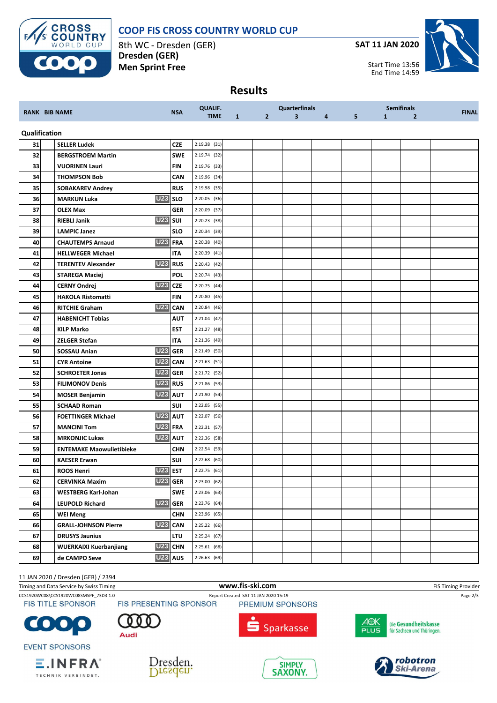



8th WC - Dresden (GER) **Dresden (GER) Men Sprint Free**

**SAT 11 JAN 2020**



**Results**

| <b>RANK BIB NAME</b> |  |                                      |                     | <b>QUALIF.</b> |              |              | <b>Quarterfinals</b>    |   |                |              | <b>Semifinals</b> | <b>FINAL</b> |
|----------------------|--|--------------------------------------|---------------------|----------------|--------------|--------------|-------------------------|---|----------------|--------------|-------------------|--------------|
|                      |  |                                      | <b>NSA</b>          | <b>TIME</b>    | $\mathbf{1}$ | $\mathbf{2}$ | $\overline{\mathbf{3}}$ | 4 | 5 <sub>1</sub> | $\mathbf{1}$ | $\overline{2}$    |              |
| Qualification        |  |                                      |                     |                |              |              |                         |   |                |              |                   |              |
| 31                   |  | <b>SELLER Ludek</b>                  | <b>CZE</b>          | 2:19.38 (31)   |              |              |                         |   |                |              |                   |              |
| 32                   |  | <b>BERGSTROEM Martin</b>             | <b>SWE</b>          | 2:19.74 (32)   |              |              |                         |   |                |              |                   |              |
| 33                   |  | <b>VUORINEN Lauri</b>                | <b>FIN</b>          | $2:19.76$ (33) |              |              |                         |   |                |              |                   |              |
| 34                   |  | <b>THOMPSON Bob</b>                  | CAN                 | 2:19.96 (34)   |              |              |                         |   |                |              |                   |              |
| 35                   |  | <b>SOBAKAREV Andrey</b>              | <b>RUS</b>          | 2:19.98 (35)   |              |              |                         |   |                |              |                   |              |
| 36                   |  | <b>U23</b> SLO<br><b>MARKUN Luka</b> |                     | 2:20.05 (36)   |              |              |                         |   |                |              |                   |              |
| 37                   |  | <b>OLEX Max</b>                      | <b>GER</b>          | 2:20.09 (37)   |              |              |                         |   |                |              |                   |              |
| 38                   |  | <b>U23</b><br><b>RIEBLI Janik</b>    | <b>SUI</b>          | 2:20.23 (38)   |              |              |                         |   |                |              |                   |              |
| 39                   |  | <b>LAMPIC Janez</b>                  | <b>SLO</b>          | 2:20.34 (39)   |              |              |                         |   |                |              |                   |              |
| 40                   |  | U23 FRA<br><b>CHAUTEMPS Arnaud</b>   |                     | $2:20.38$ (40) |              |              |                         |   |                |              |                   |              |
| 41                   |  | <b>HELLWEGER Michael</b>             | <b>ITA</b>          | 2:20.39 (41)   |              |              |                         |   |                |              |                   |              |
| 42                   |  | <b>TERENTEV Alexander</b>            | U23 RUS             | 2:20.43(42)    |              |              |                         |   |                |              |                   |              |
| 43                   |  | <b>STAREGA Maciej</b>                | <b>POL</b>          | 2:20.74(43)    |              |              |                         |   |                |              |                   |              |
| 44                   |  | <b>U23</b><br><b>CERNY Ondrej</b>    | <b>CZE</b>          | 2:20.75 (44)   |              |              |                         |   |                |              |                   |              |
| 45                   |  | <b>HAKOLA Ristomatti</b>             | <b>FIN</b>          | 2:20.80 (45)   |              |              |                         |   |                |              |                   |              |
| 46                   |  | <b>RITCHIE Graham</b>                | U <sub>23</sub> CAN | 2:20.84(46)    |              |              |                         |   |                |              |                   |              |
| 47                   |  | <b>HABENICHT Tobias</b>              | <b>AUT</b>          | 2:21.04 (47)   |              |              |                         |   |                |              |                   |              |
| 48                   |  | <b>KILP Marko</b>                    | <b>EST</b>          | $2:21.27$ (48) |              |              |                         |   |                |              |                   |              |
| 49                   |  | <b>ZELGER Stefan</b>                 | <b>ITA</b>          | 2:21.36 (49)   |              |              |                         |   |                |              |                   |              |
| 50                   |  | <b>U23</b><br>SOSSAU Anian           | <b>GER</b>          | 2:21.49 (50)   |              |              |                         |   |                |              |                   |              |
| 51                   |  | <b>U23</b><br><b>CYR Antoine</b>     | <b>CAN</b>          | $2:21.63$ (51) |              |              |                         |   |                |              |                   |              |
| 52                   |  | <b>SCHROETER Jonas</b>               | <b>U23 GER</b>      | 2:21.72 (52)   |              |              |                         |   |                |              |                   |              |
| 53                   |  | <b>FILIMONOV Denis</b>               | <b>U23</b> RUS      | 2:21.86 (53)   |              |              |                         |   |                |              |                   |              |
| 54                   |  | <b>MOSER Benjamin</b>                | <b>U23 AUT</b>      | 2:21.90 (54)   |              |              |                         |   |                |              |                   |              |
| 55                   |  | <b>SCHAAD Roman</b>                  | SUI                 | 2:22.05 (55)   |              |              |                         |   |                |              |                   |              |
| 56                   |  | <b>FOETTINGER Michael</b>            | U <sub>23</sub> AUT | 2:22.07 (56)   |              |              |                         |   |                |              |                   |              |
| 57                   |  | U23 FRA<br><b>MANCINI Tom</b>        |                     | 2:22.31 (57)   |              |              |                         |   |                |              |                   |              |
| 58                   |  | <b>MRKONJIC Lukas</b>                | <b>U23 AUT</b>      | 2:22.36 (58)   |              |              |                         |   |                |              |                   |              |
| 59                   |  | <b>ENTEMAKE Maowulietibieke</b>      | <b>CHN</b>          | 2:22.54 (59)   |              |              |                         |   |                |              |                   |              |
| 60                   |  | <b>KAESER Erwan</b>                  | SUI                 | 2:22.68 (60)   |              |              |                         |   |                |              |                   |              |
| 61                   |  | <b>U23</b><br><b>ROOS Henri</b>      | <b>EST</b>          | 2:22.75 (61)   |              |              |                         |   |                |              |                   |              |
| 62                   |  | <b>CERVINKA Maxim</b>                | <b>U23</b> GER      | 2:23.00 (62)   |              |              |                         |   |                |              |                   |              |
| 63                   |  | <b>WESTBERG Karl-Johan</b>           | <b>SWE</b>          | $2:23.06$ (63) |              |              |                         |   |                |              |                   |              |
| 64                   |  | <b>LEUPOLD Richard</b>               | <b>U23</b> GER      | 2:23.76 (64)   |              |              |                         |   |                |              |                   |              |
| 65                   |  | <b>WEI Meng</b>                      | <b>CHN</b>          | 2:23.96 (65)   |              |              |                         |   |                |              |                   |              |
| 66                   |  | <b>GRALL-JOHNSON Pierre</b>          | U23 CAN             | 2:25.22 (66)   |              |              |                         |   |                |              |                   |              |
| 67                   |  | <b>DRUSYS Jaunius</b>                | <b>LTU</b>          | 2:25.24 (67)   |              |              |                         |   |                |              |                   |              |
| 68                   |  | <b>WUERKAIXI Kuerbanjiang</b>        | U23 CHN             | 2:25.61(68)    |              |              |                         |   |                |              |                   |              |
| 69                   |  | de CAMPO Seve                        | U23 AUS             | 2:26.63 (69)   |              |              |                         |   |                |              |                   |              |

11 JAN 2020 / Dresden (GER) / 2394

Timing and Data Service by Swiss Timing **WWW.fis-Ski.com WWW.fis-Ski.com** FIS Timing Provider

CCS1920WC08\CCS1920WC08SMSPF\_73D3 1.0 Report Created SAT 11 JAN 2020 15:19<br>FIS TITLE SPONSOR FIS PRESENTING SPONSOR PREMIUM SPONSORS

**FIS TITLE SPONSOR** 

 $\bullet$ 

**EVENT SPONSORS** 







Die Gesundheitskasse für Sachsen und Thüringen.